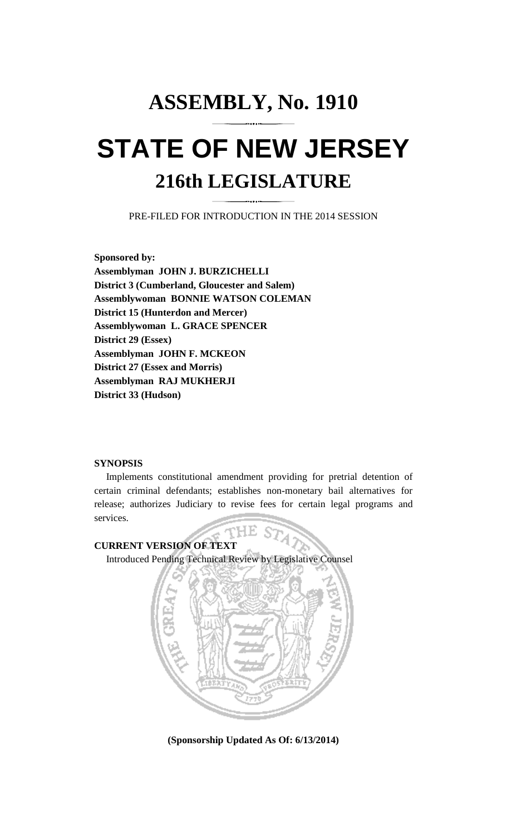# **ASSEMBLY, No. 1910 STATE OF NEW JERSEY 216th LEGISLATURE**

PRE-FILED FOR INTRODUCTION IN THE 2014 SESSION

**Sponsored by: Assemblyman JOHN J. BURZICHELLI District 3 (Cumberland, Gloucester and Salem) Assemblywoman BONNIE WATSON COLEMAN District 15 (Hunterdon and Mercer) Assemblywoman L. GRACE SPENCER District 29 (Essex) Assemblyman JOHN F. MCKEON District 27 (Essex and Morris) Assemblyman RAJ MUKHERJI District 33 (Hudson)** 

#### **SYNOPSIS**

 Implements constitutional amendment providing for pretrial detention of certain criminal defendants; establishes non-monetary bail alternatives for release; authorizes Judiciary to revise fees for certain legal programs and services.

HE S **CURRENT VERSION OF TEXT**  Introduced Pending Technical Review by Legislative Counsel



**(Sponsorship Updated As Of: 6/13/2014)**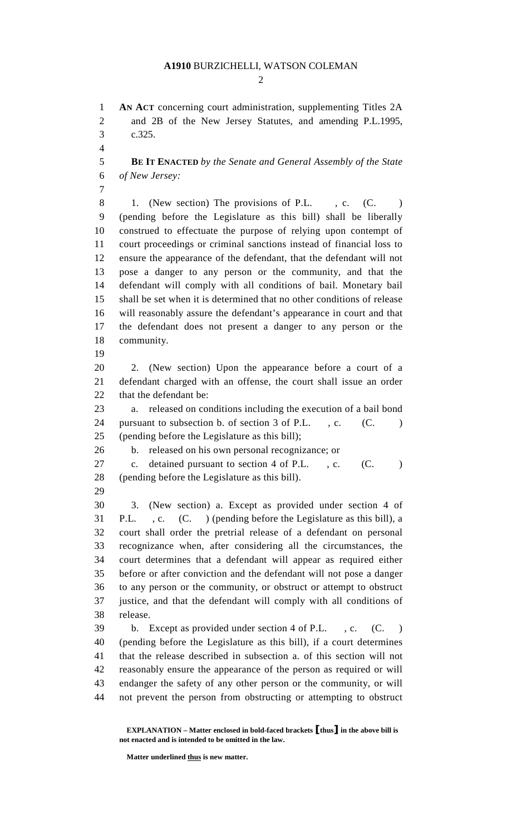$\mathcal{D}_{\mathcal{L}}$ 

1 **AN ACT** concerning court administration, supplementing Titles 2A 2 and 2B of the New Jersey Statutes, and amending P.L.1995, 3 c.325.

4

7

5 **BE IT ENACTED** *by the Senate and General Assembly of the State*  6 *of New Jersey:* 

- 8 1. (New section) The provisions of P.L. c. (C. ) 9 (pending before the Legislature as this bill) shall be liberally 10 construed to effectuate the purpose of relying upon contempt of 11 court proceedings or criminal sanctions instead of financial loss to 12 ensure the appearance of the defendant, that the defendant will not 13 pose a danger to any person or the community, and that the 14 defendant will comply with all conditions of bail. Monetary bail 15 shall be set when it is determined that no other conditions of release 16 will reasonably assure the defendant's appearance in court and that 17 the defendant does not present a danger to any person or the 18 community.
- 19

20 2. (New section) Upon the appearance before a court of a 21 defendant charged with an offense, the court shall issue an order 22 that the defendant be:

23 a. released on conditions including the execution of a bail bond 24 pursuant to subsection b. of section 3 of P.L., c. (C. ) 25 (pending before the Legislature as this bill);

26 b. released on his own personal recognizance; or

27 c. detained pursuant to section 4 of P.L., c. (C. ) 28 (pending before the Legislature as this bill).

29

30 3. (New section) a. Except as provided under section 4 of 31 P.L. , c. (C. ) (pending before the Legislature as this bill), a 32 court shall order the pretrial release of a defendant on personal 33 recognizance when, after considering all the circumstances, the 34 court determines that a defendant will appear as required either 35 before or after conviction and the defendant will not pose a danger 36 to any person or the community, or obstruct or attempt to obstruct 37 justice, and that the defendant will comply with all conditions of 38 release.

39 b. Except as provided under section 4 of P.L. , c. (C. ) 40 (pending before the Legislature as this bill), if a court determines 41 that the release described in subsection a. of this section will not 42 reasonably ensure the appearance of the person as required or will 43 endanger the safety of any other person or the community, or will 44 not prevent the person from obstructing or attempting to obstruct

**Matter underlined thus is new matter.** 

**EXPLANATION – Matter enclosed in bold-faced brackets** [**thus**] **in the above bill is not enacted and is intended to be omitted in the law.**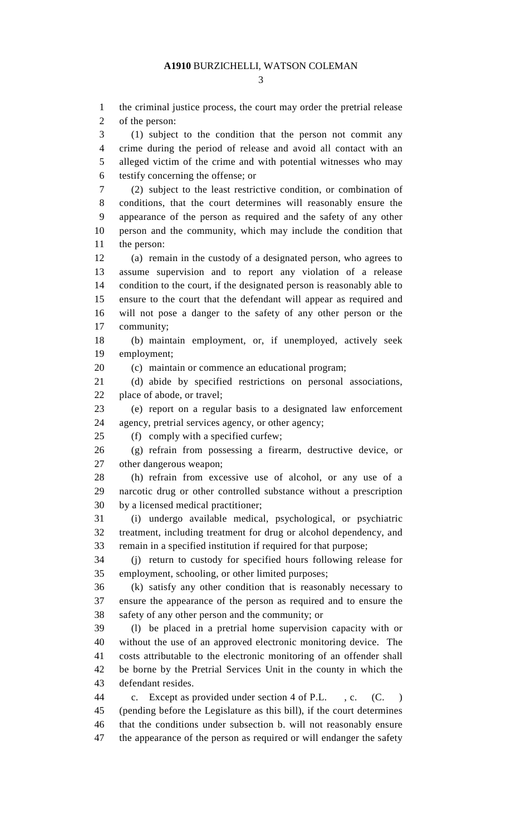1 the criminal justice process, the court may order the pretrial release

2 of the person: 3 (1) subject to the condition that the person not commit any 4 crime during the period of release and avoid all contact with an 5 alleged victim of the crime and with potential witnesses who may 6 testify concerning the offense; or 7 (2) subject to the least restrictive condition, or combination of 8 conditions, that the court determines will reasonably ensure the 9 appearance of the person as required and the safety of any other 10 person and the community, which may include the condition that 11 the person: 12 (a) remain in the custody of a designated person, who agrees to 13 assume supervision and to report any violation of a release 14 condition to the court, if the designated person is reasonably able to 15 ensure to the court that the defendant will appear as required and 16 will not pose a danger to the safety of any other person or the 17 community; 18 (b) maintain employment, or, if unemployed, actively seek 19 employment; 20 (c) maintain or commence an educational program; 21 (d) abide by specified restrictions on personal associations, 22 place of abode, or travel; 23 (e) report on a regular basis to a designated law enforcement 24 agency, pretrial services agency, or other agency; 25 (f) comply with a specified curfew; 26 (g) refrain from possessing a firearm, destructive device, or 27 other dangerous weapon; 28 (h) refrain from excessive use of alcohol, or any use of a 29 narcotic drug or other controlled substance without a prescription 30 by a licensed medical practitioner; 31 (i) undergo available medical, psychological, or psychiatric 32 treatment, including treatment for drug or alcohol dependency, and 33 remain in a specified institution if required for that purpose; 34 (j) return to custody for specified hours following release for 35 employment, schooling, or other limited purposes; 36 (k) satisfy any other condition that is reasonably necessary to 37 ensure the appearance of the person as required and to ensure the 38 safety of any other person and the community; or 39 (l) be placed in a pretrial home supervision capacity with or 40 without the use of an approved electronic monitoring device. The 41 costs attributable to the electronic monitoring of an offender shall 42 be borne by the Pretrial Services Unit in the county in which the 43 defendant resides. 44 c. Except as provided under section 4 of P.L. , c. (C. ) 45 (pending before the Legislature as this bill), if the court determines 46 that the conditions under subsection b. will not reasonably ensure

47 the appearance of the person as required or will endanger the safety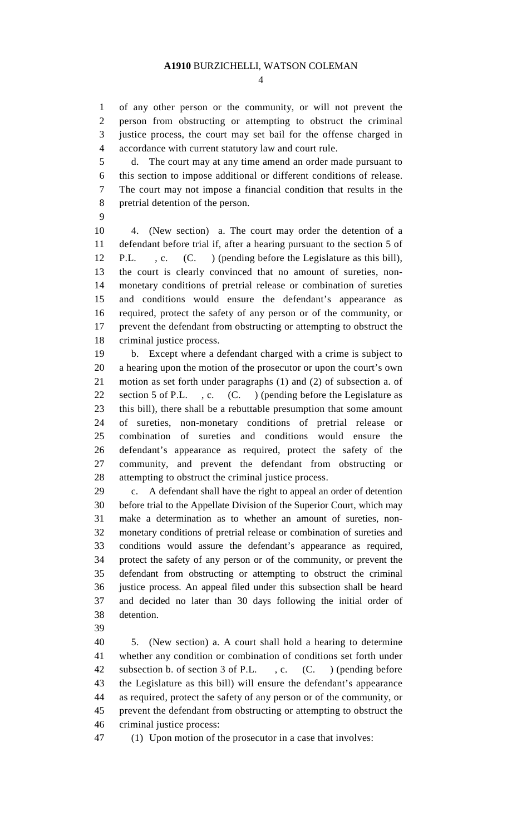$\Delta$ 

1 of any other person or the community, or will not prevent the 2 person from obstructing or attempting to obstruct the criminal 3 justice process, the court may set bail for the offense charged in 4 accordance with current statutory law and court rule.

5 d. The court may at any time amend an order made pursuant to 6 this section to impose additional or different conditions of release. 7 The court may not impose a financial condition that results in the 8 pretrial detention of the person.

9

10 4. (New section) a. The court may order the detention of a 11 defendant before trial if, after a hearing pursuant to the section 5 of 12 P.L. , c. (C. ) (pending before the Legislature as this bill), 13 the court is clearly convinced that no amount of sureties, non-14 monetary conditions of pretrial release or combination of sureties 15 and conditions would ensure the defendant's appearance as 16 required, protect the safety of any person or of the community, or 17 prevent the defendant from obstructing or attempting to obstruct the 18 criminal justice process.

19 b. Except where a defendant charged with a crime is subject to 20 a hearing upon the motion of the prosecutor or upon the court's own 21 motion as set forth under paragraphs (1) and (2) of subsection a. of 22 section 5 of P.L., c. (C.) (pending before the Legislature as 23 this bill), there shall be a rebuttable presumption that some amount 24 of sureties, non-monetary conditions of pretrial release or 25 combination of sureties and conditions would ensure the 26 defendant's appearance as required, protect the safety of the 27 community, and prevent the defendant from obstructing or 28 attempting to obstruct the criminal justice process.

29 c. A defendant shall have the right to appeal an order of detention 30 before trial to the Appellate Division of the Superior Court, which may 31 make a determination as to whether an amount of sureties, non-32 monetary conditions of pretrial release or combination of sureties and 33 conditions would assure the defendant's appearance as required, 34 protect the safety of any person or of the community, or prevent the 35 defendant from obstructing or attempting to obstruct the criminal 36 justice process. An appeal filed under this subsection shall be heard 37 and decided no later than 30 days following the initial order of 38 detention.

39

40 5. (New section) a. A court shall hold a hearing to determine 41 whether any condition or combination of conditions set forth under 42 subsection b. of section 3 of P.L. , c. (C. ) (pending before 43 the Legislature as this bill) will ensure the defendant's appearance 44 as required, protect the safety of any person or of the community, or 45 prevent the defendant from obstructing or attempting to obstruct the 46 criminal justice process:

47 (1) Upon motion of the prosecutor in a case that involves: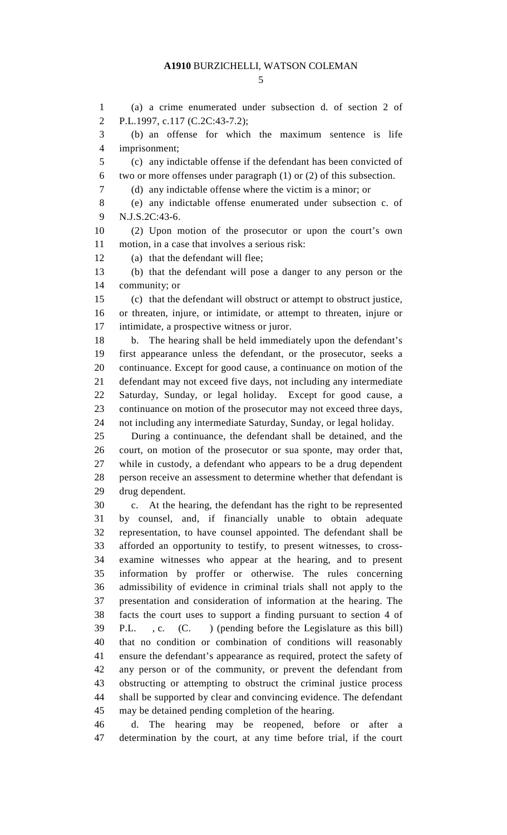1 (a) a crime enumerated under subsection d. of section 2 of 2 P.L.1997, c.117 (C.2C:43-7.2); 3 (b) an offense for which the maximum sentence is life 4 imprisonment; 5 (c) any indictable offense if the defendant has been convicted of 6 two or more offenses under paragraph (1) or (2) of this subsection. 7 (d) any indictable offense where the victim is a minor; or 8 (e) any indictable offense enumerated under subsection c. of 9 N.J.S.2C:43-6. 10 (2) Upon motion of the prosecutor or upon the court's own 11 motion, in a case that involves a serious risk: 12 (a) that the defendant will flee; 13 (b) that the defendant will pose a danger to any person or the 14 community; or 15 (c) that the defendant will obstruct or attempt to obstruct justice, 16 or threaten, injure, or intimidate, or attempt to threaten, injure or 17 intimidate, a prospective witness or juror. 18 b. The hearing shall be held immediately upon the defendant's 19 first appearance unless the defendant, or the prosecutor, seeks a 20 continuance. Except for good cause, a continuance on motion of the 21 defendant may not exceed five days, not including any intermediate 22 Saturday, Sunday, or legal holiday. Except for good cause, a 23 continuance on motion of the prosecutor may not exceed three days, 24 not including any intermediate Saturday, Sunday, or legal holiday. 25 During a continuance, the defendant shall be detained, and the 26 court, on motion of the prosecutor or sua sponte, may order that, 27 while in custody, a defendant who appears to be a drug dependent 28 person receive an assessment to determine whether that defendant is 29 drug dependent. 30 c. At the hearing, the defendant has the right to be represented 31 by counsel, and, if financially unable to obtain adequate 32 representation, to have counsel appointed. The defendant shall be 33 afforded an opportunity to testify, to present witnesses, to cross-34 examine witnesses who appear at the hearing, and to present 35 information by proffer or otherwise. The rules concerning 36 admissibility of evidence in criminal trials shall not apply to the 37 presentation and consideration of information at the hearing. The 38 facts the court uses to support a finding pursuant to section 4 of 39 P.L. , c. (C. ) (pending before the Legislature as this bill) 40 that no condition or combination of conditions will reasonably 41 ensure the defendant's appearance as required, protect the safety of 42 any person or of the community, or prevent the defendant from 43 obstructing or attempting to obstruct the criminal justice process 44 shall be supported by clear and convincing evidence. The defendant 45 may be detained pending completion of the hearing. 46 d. The hearing may be reopened, before or after a 47 determination by the court, at any time before trial, if the court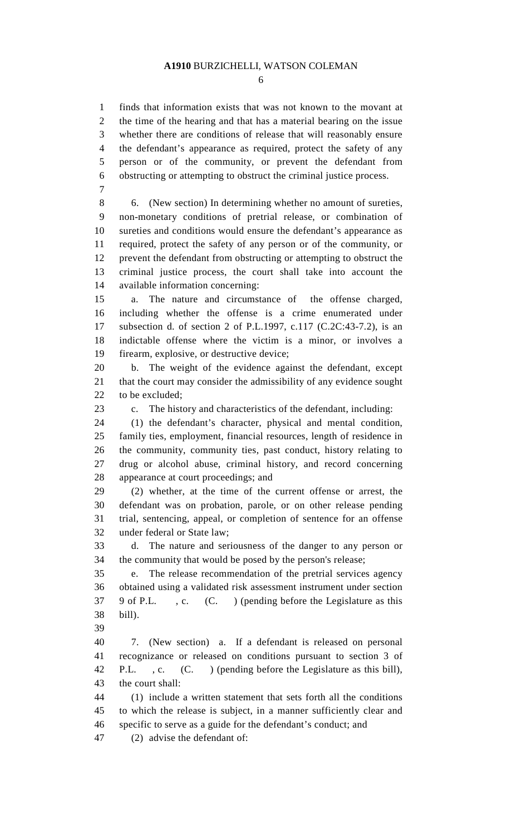6

1 finds that information exists that was not known to the movant at 2 the time of the hearing and that has a material bearing on the issue 3 whether there are conditions of release that will reasonably ensure 4 the defendant's appearance as required, protect the safety of any 5 person or of the community, or prevent the defendant from 6 obstructing or attempting to obstruct the criminal justice process. 7

8 6. (New section) In determining whether no amount of sureties, 9 non-monetary conditions of pretrial release, or combination of 10 sureties and conditions would ensure the defendant's appearance as 11 required, protect the safety of any person or of the community, or 12 prevent the defendant from obstructing or attempting to obstruct the 13 criminal justice process, the court shall take into account the 14 available information concerning:

15 a. The nature and circumstance of the offense charged, 16 including whether the offense is a crime enumerated under 17 subsection d. of section 2 of P.L.1997, c.117 (C.2C:43-7.2), is an 18 indictable offense where the victim is a minor, or involves a 19 firearm, explosive, or destructive device;

20 b. The weight of the evidence against the defendant, except 21 that the court may consider the admissibility of any evidence sought 22 to be excluded;

23 c. The history and characteristics of the defendant, including:

24 (1) the defendant's character, physical and mental condition, 25 family ties, employment, financial resources, length of residence in 26 the community, community ties, past conduct, history relating to 27 drug or alcohol abuse, criminal history, and record concerning 28 appearance at court proceedings; and

29 (2) whether, at the time of the current offense or arrest, the 30 defendant was on probation, parole, or on other release pending 31 trial, sentencing, appeal, or completion of sentence for an offense 32 under federal or State law;

33 d. The nature and seriousness of the danger to any person or 34 the community that would be posed by the person's release;

35 e. The release recommendation of the pretrial services agency 36 obtained using a validated risk assessment instrument under section 37 9 of P.L. , c. (C. ) (pending before the Legislature as this 38 bill).

39

40 7. (New section) a. If a defendant is released on personal 41 recognizance or released on conditions pursuant to section 3 of 42 P.L. , c. (C. ) (pending before the Legislature as this bill), 43 the court shall:

44 (1) include a written statement that sets forth all the conditions 45 to which the release is subject, in a manner sufficiently clear and 46 specific to serve as a guide for the defendant's conduct; and

47 (2) advise the defendant of: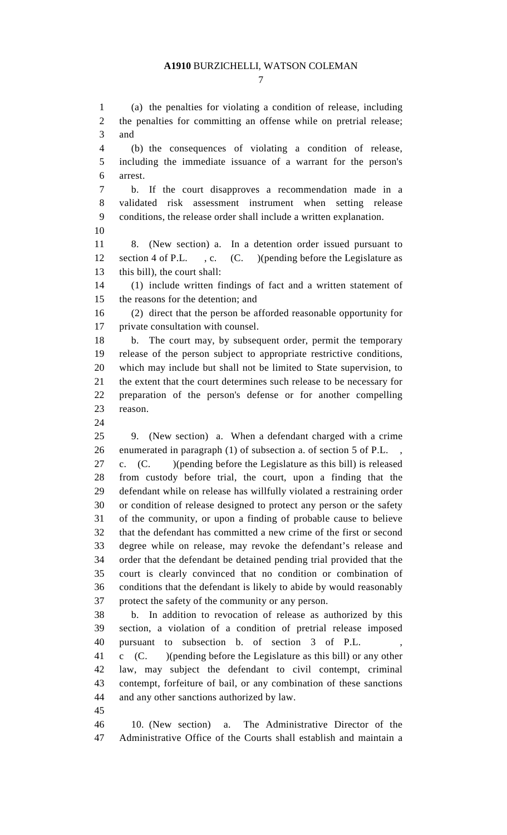1 (a) the penalties for violating a condition of release, including 2 the penalties for committing an offense while on pretrial release; 3 and 4 (b) the consequences of violating a condition of release, 5 including the immediate issuance of a warrant for the person's 6 arrest. 7 b. If the court disapproves a recommendation made in a 8 validated risk assessment instrument when setting release 9 conditions, the release order shall include a written explanation. 10 11 8. (New section) a. In a detention order issued pursuant to 12 section 4 of P.L. , c. (C. )(pending before the Legislature as 13 this bill), the court shall: 14 (1) include written findings of fact and a written statement of 15 the reasons for the detention; and 16 (2) direct that the person be afforded reasonable opportunity for 17 private consultation with counsel. 18 b. The court may, by subsequent order, permit the temporary 19 release of the person subject to appropriate restrictive conditions, 20 which may include but shall not be limited to State supervision, to 21 the extent that the court determines such release to be necessary for 22 preparation of the person's defense or for another compelling 23 reason. 24 25 9. (New section) a. When a defendant charged with a crime 26 enumerated in paragraph (1) of subsection a. of section 5 of P.L. , 27 c. (C. )(pending before the Legislature as this bill) is released 28 from custody before trial, the court, upon a finding that the 29 defendant while on release has willfully violated a restraining order 30 or condition of release designed to protect any person or the safety 31 of the community, or upon a finding of probable cause to believe 32 that the defendant has committed a new crime of the first or second 33 degree while on release, may revoke the defendant's release and 34 order that the defendant be detained pending trial provided that the 35 court is clearly convinced that no condition or combination of 36 conditions that the defendant is likely to abide by would reasonably 37 protect the safety of the community or any person. 38 b. In addition to revocation of release as authorized by this 39 section, a violation of a condition of pretrial release imposed 40 pursuant to subsection b. of section 3 of P.L. , 41 c (C. )(pending before the Legislature as this bill) or any other 42 law, may subject the defendant to civil contempt, criminal 43 contempt, forfeiture of bail, or any combination of these sanctions 44 and any other sanctions authorized by law. 45 46 10. (New section) a. The Administrative Director of the 47 Administrative Office of the Courts shall establish and maintain a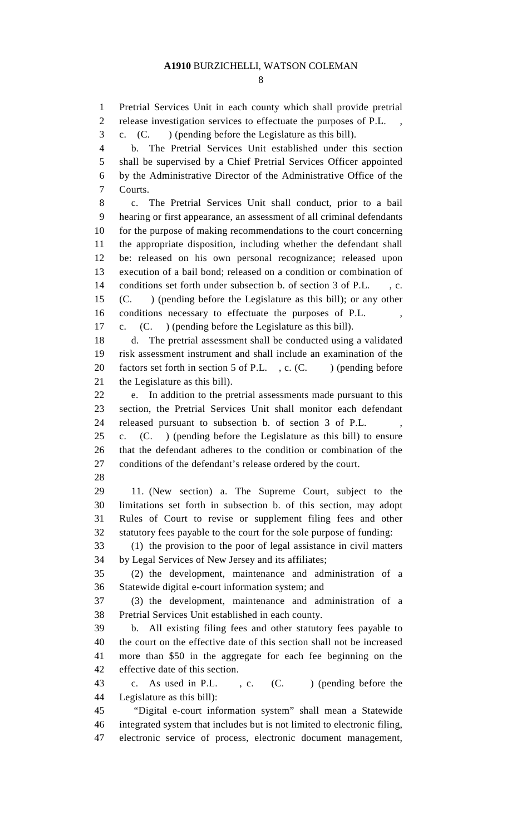8

1 Pretrial Services Unit in each county which shall provide pretrial 2 release investigation services to effectuate the purposes of P.L. 3 c. (C. ) (pending before the Legislature as this bill). 4 b. The Pretrial Services Unit established under this section 5 shall be supervised by a Chief Pretrial Services Officer appointed 6 by the Administrative Director of the Administrative Office of the 7 Courts. 8 c. The Pretrial Services Unit shall conduct, prior to a bail 9 hearing or first appearance, an assessment of all criminal defendants 10 for the purpose of making recommendations to the court concerning 11 the appropriate disposition, including whether the defendant shall 12 be: released on his own personal recognizance; released upon 13 execution of a bail bond; released on a condition or combination of 14 conditions set forth under subsection b. of section 3 of P.L. , c. 15 (C. ) (pending before the Legislature as this bill); or any other 16 conditions necessary to effectuate the purposes of P.L. , 17 c. (C. ) (pending before the Legislature as this bill). 18 d. The pretrial assessment shall be conducted using a validated 19 risk assessment instrument and shall include an examination of the 20 factors set forth in section 5 of P.L., c.  $(C.$  ) (pending before 21 the Legislature as this bill). 22 e. In addition to the pretrial assessments made pursuant to this 23 section, the Pretrial Services Unit shall monitor each defendant 24 released pursuant to subsection b. of section 3 of P.L. , 25 c. (C. ) (pending before the Legislature as this bill) to ensure 26 that the defendant adheres to the condition or combination of the 27 conditions of the defendant's release ordered by the court. 28 29 11. (New section) a. The Supreme Court, subject to the 30 limitations set forth in subsection b. of this section, may adopt 31 Rules of Court to revise or supplement filing fees and other 32 statutory fees payable to the court for the sole purpose of funding: 33 (1) the provision to the poor of legal assistance in civil matters 34 by Legal Services of New Jersey and its affiliates; 35 (2) the development, maintenance and administration of a 36 Statewide digital e-court information system; and 37 (3) the development, maintenance and administration of a 38 Pretrial Services Unit established in each county. 39 b. All existing filing fees and other statutory fees payable to 40 the court on the effective date of this section shall not be increased 41 more than \$50 in the aggregate for each fee beginning on the effective date of this section. 42 43 c. As used in P.L. , c. (C. ) (pending before the 44 Legislature as this bill): 45 "Digital e-court information system" shall mean a Statewide 46 integrated system that includes but is not limited to electronic filing, 47 electronic service of process, electronic document management,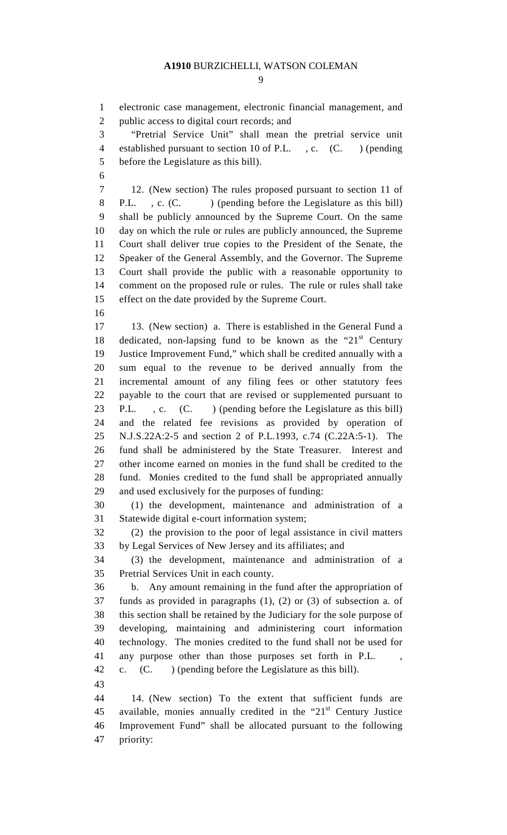1 electronic case management, electronic financial management, and 2 public access to digital court records; and

3 "Pretrial Service Unit" shall mean the pretrial service unit 4 established pursuant to section 10 of P.L. , c. (C. ) (pending 5 before the Legislature as this bill).

6

7 12. (New section) The rules proposed pursuant to section 11 of 8 P.L. , c. (C. ) (pending before the Legislature as this bill) 9 shall be publicly announced by the Supreme Court. On the same 10 day on which the rule or rules are publicly announced, the Supreme 11 Court shall deliver true copies to the President of the Senate, the 12 Speaker of the General Assembly, and the Governor. The Supreme 13 Court shall provide the public with a reasonable opportunity to 14 comment on the proposed rule or rules. The rule or rules shall take 15 effect on the date provided by the Supreme Court.

16

17 13. (New section) a. There is established in the General Fund a 18 dedicated, non-lapsing fund to be known as the " $21<sup>st</sup>$  Century 19 Justice Improvement Fund," which shall be credited annually with a 20 sum equal to the revenue to be derived annually from the 21 incremental amount of any filing fees or other statutory fees 22 payable to the court that are revised or supplemented pursuant to 23 P.L. , c. (C. ) (pending before the Legislature as this bill) 24 and the related fee revisions as provided by operation of 25 N.J.S.22A:2-5 and section 2 of P.L.1993, c.74 (C.22A:5-1). The 26 fund shall be administered by the State Treasurer. Interest and 27 other income earned on monies in the fund shall be credited to the 28 fund. Monies credited to the fund shall be appropriated annually 29 and used exclusively for the purposes of funding:

30 (1) the development, maintenance and administration of a 31 Statewide digital e-court information system;

32 (2) the provision to the poor of legal assistance in civil matters 33 by Legal Services of New Jersey and its affiliates; and

34 (3) the development, maintenance and administration of a 35 Pretrial Services Unit in each county.

36 b. Any amount remaining in the fund after the appropriation of 37 funds as provided in paragraphs (1), (2) or (3) of subsection a. of 38 this section shall be retained by the Judiciary for the sole purpose of 39 developing, maintaining and administering court information 40 technology. The monies credited to the fund shall not be used for 41 any purpose other than those purposes set forth in P.L. , 42 c. (C. ) (pending before the Legislature as this bill).

 43 44 14. (New section) To the extent that sufficient funds are 45 available, monies annually credited in the " $21<sup>st</sup>$  Century Justice 46 Improvement Fund" shall be allocated pursuant to the following 47 priority: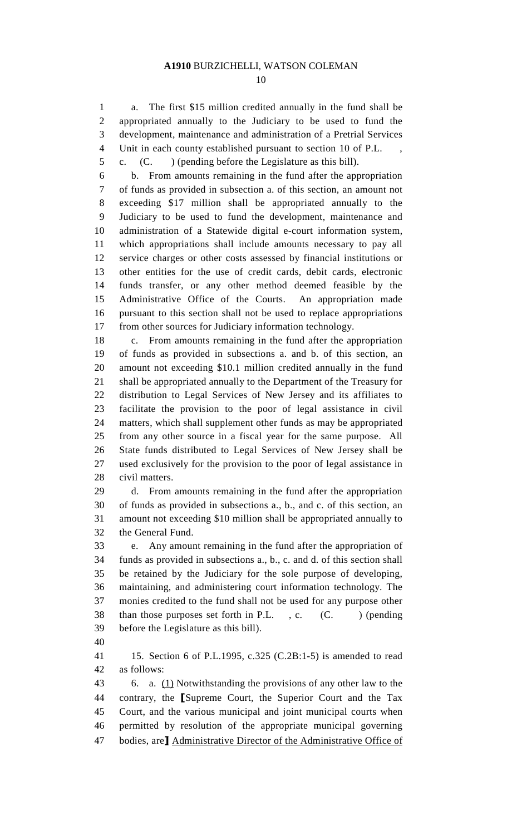1 a. The first \$15 million credited annually in the fund shall be 2 appropriated annually to the Judiciary to be used to fund the 3 development, maintenance and administration of a Pretrial Services 4 Unit in each county established pursuant to section 10 of P.L. 5 c. (C. ) (pending before the Legislature as this bill).

6 b. From amounts remaining in the fund after the appropriation 7 of funds as provided in subsection a. of this section, an amount not 8 exceeding \$17 million shall be appropriated annually to the 9 Judiciary to be used to fund the development, maintenance and 10 administration of a Statewide digital e-court information system, 11 which appropriations shall include amounts necessary to pay all 12 service charges or other costs assessed by financial institutions or 13 other entities for the use of credit cards, debit cards, electronic 14 funds transfer, or any other method deemed feasible by the 15 Administrative Office of the Courts. An appropriation made 16 pursuant to this section shall not be used to replace appropriations 17 from other sources for Judiciary information technology.

18 c. From amounts remaining in the fund after the appropriation 19 of funds as provided in subsections a. and b. of this section, an 20 amount not exceeding \$10.1 million credited annually in the fund 21 shall be appropriated annually to the Department of the Treasury for 22 distribution to Legal Services of New Jersey and its affiliates to 23 facilitate the provision to the poor of legal assistance in civil 24 matters, which shall supplement other funds as may be appropriated 25 from any other source in a fiscal year for the same purpose. All 26 State funds distributed to Legal Services of New Jersey shall be 27 used exclusively for the provision to the poor of legal assistance in 28 civil matters.

29 d. From amounts remaining in the fund after the appropriation 30 of funds as provided in subsections a., b., and c. of this section, an 31 amount not exceeding \$10 million shall be appropriated annually to 32 the General Fund.

33 e. Any amount remaining in the fund after the appropriation of 34 funds as provided in subsections a., b., c. and d. of this section shall 35 be retained by the Judiciary for the sole purpose of developing, 36 maintaining, and administering court information technology. The 37 monies credited to the fund shall not be used for any purpose other 38 than those purposes set forth in P.L.  $\cdot$ , c.  $(C.$  ) (pending before the Legislature as this bill). 39

40

41 15. Section 6 of P.L.1995, c.325 (C.2B:1-5) is amended to read 42 as follows:

43 6. a. (1) Notwithstanding the provisions of any other law to the 44 contrary, the [Supreme Court, the Superior Court and the Tax 45 Court, and the various municipal and joint municipal courts when 46 permitted by resolution of the appropriate municipal governing 47 bodies, are] Administrative Director of the Administrative Office of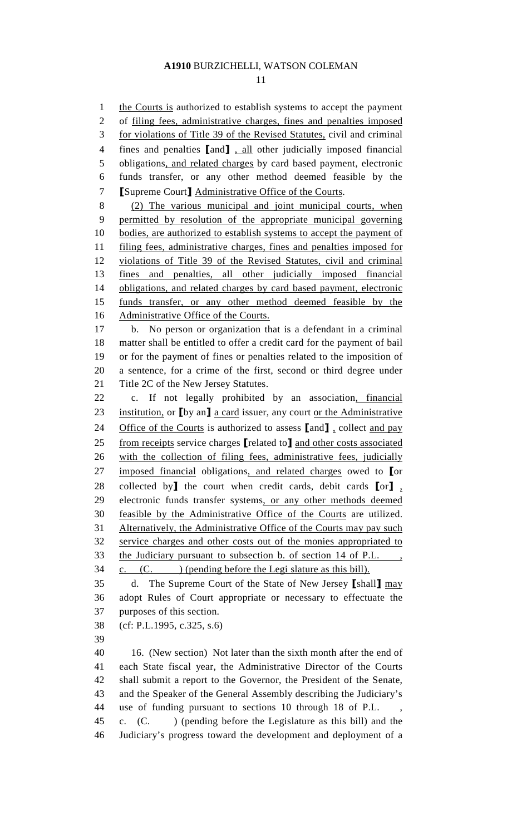11

1 the Courts is authorized to establish systems to accept the payment 2 of filing fees, administrative charges, fines and penalties imposed 3 for violations of Title 39 of the Revised Statutes, civil and criminal 4 fines and penalties [and], all other judicially imposed financial 5 obligations, and related charges by card based payment, electronic 6 funds transfer, or any other method deemed feasible by the 7 [Supreme Court] Administrative Office of the Courts. 8 (2) The various municipal and joint municipal courts, when 9 permitted by resolution of the appropriate municipal governing 10 bodies, are authorized to establish systems to accept the payment of 11 filing fees, administrative charges, fines and penalties imposed for 12 violations of Title 39 of the Revised Statutes, civil and criminal 13 fines and penalties, all other judicially imposed financial 14 obligations, and related charges by card based payment, electronic 15 funds transfer, or any other method deemed feasible by the 16 Administrative Office of the Courts. 17 b. No person or organization that is a defendant in a criminal 18 matter shall be entitled to offer a credit card for the payment of bail 19 or for the payment of fines or penalties related to the imposition of 20 a sentence, for a crime of the first, second or third degree under 21 Title 2C of the New Jersey Statutes. 22 c. If not legally prohibited by an association, financial 23 institution, or [by an] a card issuer, any court or the Administrative 24 Office of the Courts is authorized to assess [and], collect and pay 25 from receipts service charges [related to] and other costs associated 26 with the collection of filing fees, administrative fees, judicially 27 imposed financial obligations, and related charges owed to [or 28 collected by<sup>1</sup> the court when credit cards, debit cards  $\llbracket \text{or} \rrbracket$ , 29 electronic funds transfer systems, or any other methods deemed 30 feasible by the Administrative Office of the Courts are utilized. 31 Alternatively, the Administrative Office of the Courts may pay such 32 service charges and other costs out of the monies appropriated to 33 the Judiciary pursuant to subsection b. of section 14 of P.L., 34 c. (C. ) (pending before the Legi slature as this bill). 35 d. The Supreme Court of the State of New Jersey [shall] may 36 adopt Rules of Court appropriate or necessary to effectuate the 37 purposes of this section. 38 (cf: P.L.1995, c.325, s.6) 39 40 16. (New section) Not later than the sixth month after the end of 41 each State fiscal year, the Administrative Director of the Courts 42 shall submit a report to the Governor, the President of the Senate, 43 and the Speaker of the General Assembly describing the Judiciary's 44 use of funding pursuant to sections 10 through 18 of P.L. , 45 c. (C. ) (pending before the Legislature as this bill) and the 46 Judiciary's progress toward the development and deployment of a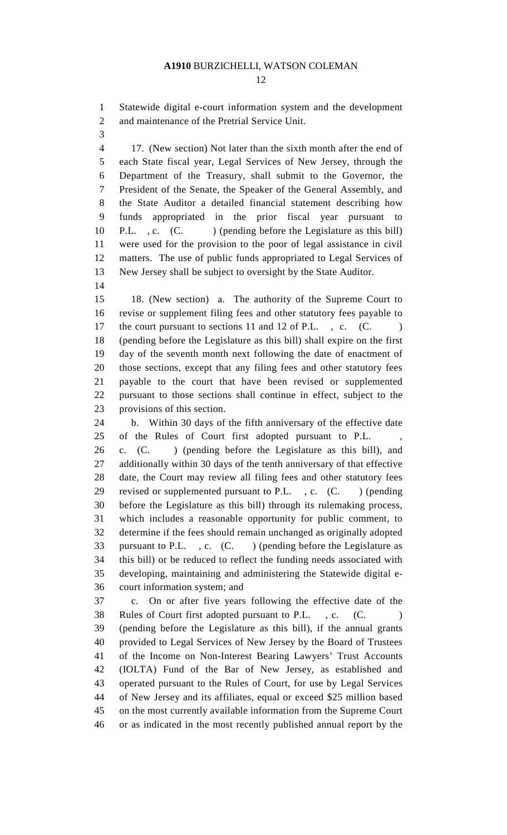12

1 Statewide digital e-court information system and the development 2 and maintenance of the Pretrial Service Unit.

3

4 17. (New section) Not later than the sixth month after the end of 5 each State fiscal year, Legal Services of New Jersey, through the 6 Department of the Treasury, shall submit to the Governor, the 7 President of the Senate, the Speaker of the General Assembly, and 8 the State Auditor a detailed financial statement describing how 9 funds appropriated in the prior fiscal year pursuant to 10 P.L. , c. (C. ) (pending before the Legislature as this bill) 11 were used for the provision to the poor of legal assistance in civil 12 matters. The use of public funds appropriated to Legal Services of 13 New Jersey shall be subject to oversight by the State Auditor.

14

15 18. (New section) a. The authority of the Supreme Court to 16 revise or supplement filing fees and other statutory fees payable to 17 the court pursuant to sections 11 and 12 of P.L., c. (C. ) 18 (pending before the Legislature as this bill) shall expire on the first 19 day of the seventh month next following the date of enactment of 20 those sections, except that any filing fees and other statutory fees 21 payable to the court that have been revised or supplemented 22 pursuant to those sections shall continue in effect, subject to the 23 provisions of this section.

 24 b. Within 30 days of the fifth anniversary of the effective date 25 of the Rules of Court first adopted pursuant to P.L.

26 c. (C. ) (pending before the Legislature as this bill), and 27 additionally within 30 days of the tenth anniversary of that effective 28 date, the Court may review all filing fees and other statutory fees 29 revised or supplemented pursuant to P.L., c. (C.) (pending 30 before the Legislature as this bill) through its rulemaking process, 31 which includes a reasonable opportunity for public comment, to 32 determine if the fees should remain unchanged as originally adopted 33 pursuant to P.L. , c. (C. ) (pending before the Legislature as 34 this bill) or be reduced to reflect the funding needs associated with 35 developing, maintaining and administering the Statewide digital e-36 court information system; and

37 c. On or after five years following the effective date of the 38 Rules of Court first adopted pursuant to P.L., c. (C. 39 (pending before the Legislature as this bill), if the annual grants 40 provided to Legal Services of New Jersey by the Board of Trustees 41 of the Income on Non-Interest Bearing Lawyers' Trust Accounts 42 (IOLTA) Fund of the Bar of New Jersey, as established and 43 operated pursuant to the Rules of Court, for use by Legal Services 44 of New Jersey and its affiliates, equal or exceed \$25 million based 45 on the most currently available information from the Supreme Court 46 or as indicated in the most recently published annual report by the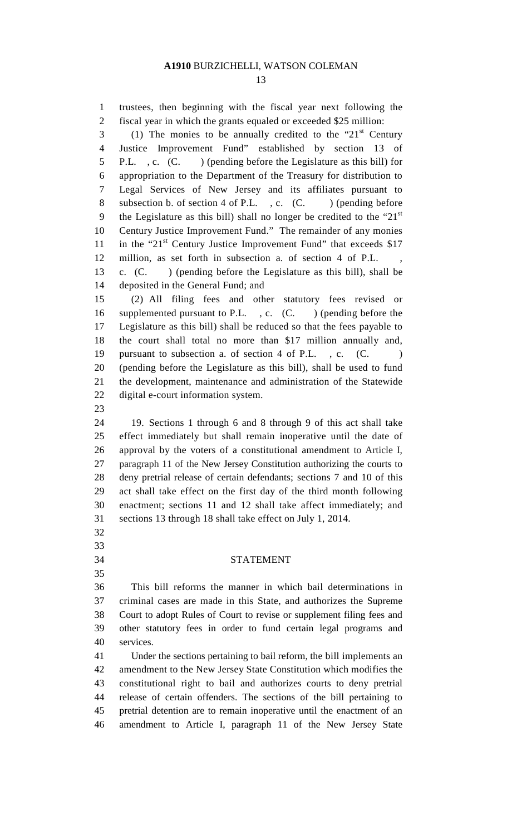13

1 trustees, then beginning with the fiscal year next following the 2 fiscal year in which the grants equaled or exceeded \$25 million:  $(1)$  The monies to be annually credited to the "21<sup>st</sup> Century" 4 Justice Improvement Fund" established by section 13 of 5 P.L. , c. (C. ) (pending before the Legislature as this bill) for 6 appropriation to the Department of the Treasury for distribution to 7 Legal Services of New Jersey and its affiliates pursuant to 8 subsection b. of section 4 of P.L. c. (C. ) (pending before 9 the Legislature as this bill) shall no longer be credited to the " $21<sup>st</sup>$ 10 Century Justice Improvement Fund." The remainder of any monies 11 in the " $21<sup>st</sup>$  Century Justice Improvement Fund" that exceeds \$17 12 million, as set forth in subsection a. of section 4 of P.L. 13 c. (C. ) (pending before the Legislature as this bill), shall be 14 deposited in the General Fund; and 15 (2) All filing fees and other statutory fees revised or 16 supplemented pursuant to P.L., c. (C.) (pending before the 17 Legislature as this bill) shall be reduced so that the fees payable to 18 the court shall total no more than \$17 million annually and, 19 pursuant to subsection a. of section 4 of P.L., c. (C. 20 (pending before the Legislature as this bill), shall be used to fund 21 the development, maintenance and administration of the Statewide 22 digital e-court information system. 23 24 19. Sections 1 through 6 and 8 through 9 of this act shall take 25 effect immediately but shall remain inoperative until the date of 26 approval by the voters of a constitutional amendment to Article I, 27 paragraph 11 of the New Jersey Constitution authorizing the courts to 28 deny pretrial release of certain defendants; sections 7 and 10 of this 29 act shall take effect on the first day of the third month following 30 enactment; sections 11 and 12 shall take affect immediately; and 31 sections 13 through 18 shall take effect on July 1, 2014. 32 33 34 STATEMENT 35 36 This bill reforms the manner in which bail determinations in 37 criminal cases are made in this State, and authorizes the Supreme 38 Court to adopt Rules of Court to revise or supplement filing fees and 39 other statutory fees in order to fund certain legal programs and 40 services. 41 Under the sections pertaining to bail reform, the bill implements an 42 amendment to the New Jersey State Constitution which modifies the 43 constitutional right to bail and authorizes courts to deny pretrial 44 release of certain offenders. The sections of the bill pertaining to 45 pretrial detention are to remain inoperative until the enactment of an 46 amendment to Article I, paragraph 11 of the New Jersey State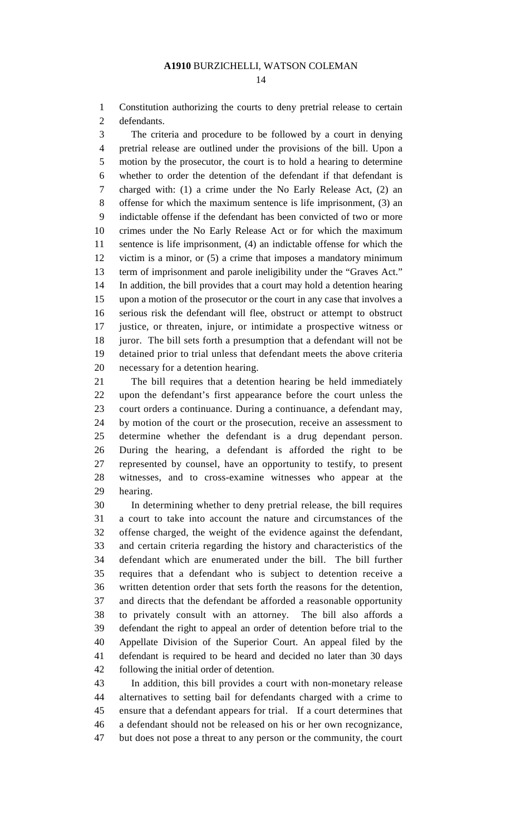1 Constitution authorizing the courts to deny pretrial release to certain 2 defendants.

3 The criteria and procedure to be followed by a court in denying 4 pretrial release are outlined under the provisions of the bill. Upon a 5 motion by the prosecutor, the court is to hold a hearing to determine 6 whether to order the detention of the defendant if that defendant is 7 charged with: (1) a crime under the No Early Release Act, (2) an 8 offense for which the maximum sentence is life imprisonment, (3) an 9 indictable offense if the defendant has been convicted of two or more 10 crimes under the No Early Release Act or for which the maximum 11 sentence is life imprisonment, (4) an indictable offense for which the 12 victim is a minor, or (5) a crime that imposes a mandatory minimum 13 term of imprisonment and parole ineligibility under the "Graves Act." 14 In addition, the bill provides that a court may hold a detention hearing 15 upon a motion of the prosecutor or the court in any case that involves a 16 serious risk the defendant will flee, obstruct or attempt to obstruct 17 justice, or threaten, injure, or intimidate a prospective witness or 18 juror. The bill sets forth a presumption that a defendant will not be 19 detained prior to trial unless that defendant meets the above criteria 20 necessary for a detention hearing.

21 The bill requires that a detention hearing be held immediately 22 upon the defendant's first appearance before the court unless the 23 court orders a continuance. During a continuance, a defendant may, 24 by motion of the court or the prosecution, receive an assessment to 25 determine whether the defendant is a drug dependant person. 26 During the hearing, a defendant is afforded the right to be 27 represented by counsel, have an opportunity to testify, to present 28 witnesses, and to cross-examine witnesses who appear at the 29 hearing.

30 In determining whether to deny pretrial release, the bill requires 31 a court to take into account the nature and circumstances of the 32 offense charged, the weight of the evidence against the defendant, 33 and certain criteria regarding the history and characteristics of the 34 defendant which are enumerated under the bill. The bill further 35 requires that a defendant who is subject to detention receive a 36 written detention order that sets forth the reasons for the detention, 37 and directs that the defendant be afforded a reasonable opportunity 38 to privately consult with an attorney. The bill also affords a 39 defendant the right to appeal an order of detention before trial to the 40 Appellate Division of the Superior Court. An appeal filed by the 41 defendant is required to be heard and decided no later than 30 days 42 following the initial order of detention.

43 In addition, this bill provides a court with non-monetary release 44 alternatives to setting bail for defendants charged with a crime to 45 ensure that a defendant appears for trial. If a court determines that 46 a defendant should not be released on his or her own recognizance, 47 but does not pose a threat to any person or the community, the court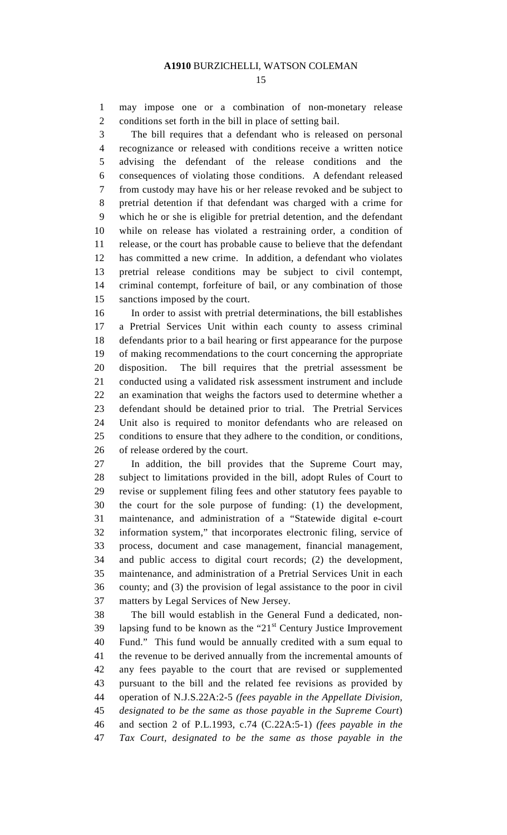1 may impose one or a combination of non-monetary release 2 conditions set forth in the bill in place of setting bail.

3 The bill requires that a defendant who is released on personal 4 recognizance or released with conditions receive a written notice 5 advising the defendant of the release conditions and the 6 consequences of violating those conditions. A defendant released 7 from custody may have his or her release revoked and be subject to 8 pretrial detention if that defendant was charged with a crime for 9 which he or she is eligible for pretrial detention, and the defendant 10 while on release has violated a restraining order, a condition of 11 release, or the court has probable cause to believe that the defendant 12 has committed a new crime. In addition, a defendant who violates 13 pretrial release conditions may be subject to civil contempt, 14 criminal contempt, forfeiture of bail, or any combination of those 15 sanctions imposed by the court.

16 In order to assist with pretrial determinations, the bill establishes 17 a Pretrial Services Unit within each county to assess criminal 18 defendants prior to a bail hearing or first appearance for the purpose 19 of making recommendations to the court concerning the appropriate 20 disposition. The bill requires that the pretrial assessment be 21 conducted using a validated risk assessment instrument and include 22 an examination that weighs the factors used to determine whether a 23 defendant should be detained prior to trial. The Pretrial Services 24 Unit also is required to monitor defendants who are released on 25 conditions to ensure that they adhere to the condition, or conditions, 26 of release ordered by the court.

27 In addition, the bill provides that the Supreme Court may, 28 subject to limitations provided in the bill, adopt Rules of Court to 29 revise or supplement filing fees and other statutory fees payable to 30 the court for the sole purpose of funding: (1) the development, 31 maintenance, and administration of a "Statewide digital e-court 32 information system," that incorporates electronic filing, service of 33 process, document and case management, financial management, 34 and public access to digital court records; (2) the development, 35 maintenance, and administration of a Pretrial Services Unit in each 36 county; and (3) the provision of legal assistance to the poor in civil 37 matters by Legal Services of New Jersey.

38 The bill would establish in the General Fund a dedicated, non-39 lapsing fund to be known as the " $21<sup>st</sup>$  Century Justice Improvement 40 Fund." This fund would be annually credited with a sum equal to 41 the revenue to be derived annually from the incremental amounts of 42 any fees payable to the court that are revised or supplemented 43 pursuant to the bill and the related fee revisions as provided by 44 operation of N.J.S.22A:2-5 *(fees payable in the Appellate Division,*  45 *designated to be the same as those payable in the Supreme Court*) 46 and section 2 of P.L.1993, c.74 (C.22A:5-1) *(fees payable in the*  47 *Tax Court, designated to be the same as those payable in the*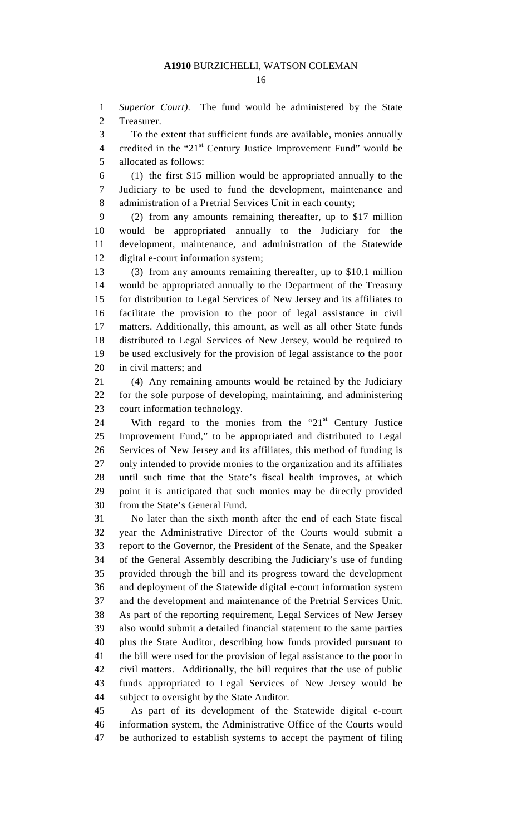1 *Superior Court)*. The fund would be administered by the State 2 Treasurer.

3 To the extent that sufficient funds are available, monies annually

4 credited in the " $21<sup>st</sup>$  Century Justice Improvement Fund" would be 5 allocated as follows:

6 (1) the first \$15 million would be appropriated annually to the 7 Judiciary to be used to fund the development, maintenance and 8 administration of a Pretrial Services Unit in each county;

9 (2) from any amounts remaining thereafter, up to \$17 million 10 would be appropriated annually to the Judiciary for the 11 development, maintenance, and administration of the Statewide 12 digital e-court information system;

13 (3) from any amounts remaining thereafter, up to \$10.1 million 14 would be appropriated annually to the Department of the Treasury 15 for distribution to Legal Services of New Jersey and its affiliates to 16 facilitate the provision to the poor of legal assistance in civil 17 matters. Additionally, this amount, as well as all other State funds 18 distributed to Legal Services of New Jersey, would be required to 19 be used exclusively for the provision of legal assistance to the poor 20 in civil matters; and

21 (4) Any remaining amounts would be retained by the Judiciary 22 for the sole purpose of developing, maintaining, and administering 23 court information technology.

24 With regard to the monies from the " $21<sup>st</sup>$  Century Justice 25 Improvement Fund," to be appropriated and distributed to Legal 26 Services of New Jersey and its affiliates, this method of funding is 27 only intended to provide monies to the organization and its affiliates 28 until such time that the State's fiscal health improves, at which 29 point it is anticipated that such monies may be directly provided 30 from the State's General Fund.

31 No later than the sixth month after the end of each State fiscal 32 year the Administrative Director of the Courts would submit a 33 report to the Governor, the President of the Senate, and the Speaker 34 of the General Assembly describing the Judiciary's use of funding 35 provided through the bill and its progress toward the development 36 and deployment of the Statewide digital e-court information system 37 and the development and maintenance of the Pretrial Services Unit. 38 As part of the reporting requirement, Legal Services of New Jersey 39 also would submit a detailed financial statement to the same parties 40 plus the State Auditor, describing how funds provided pursuant to 41 the bill were used for the provision of legal assistance to the poor in 42 civil matters. Additionally, the bill requires that the use of public 43 funds appropriated to Legal Services of New Jersey would be 44 subject to oversight by the State Auditor.

45 As part of its development of the Statewide digital e-court 46 information system, the Administrative Office of the Courts would 47 be authorized to establish systems to accept the payment of filing